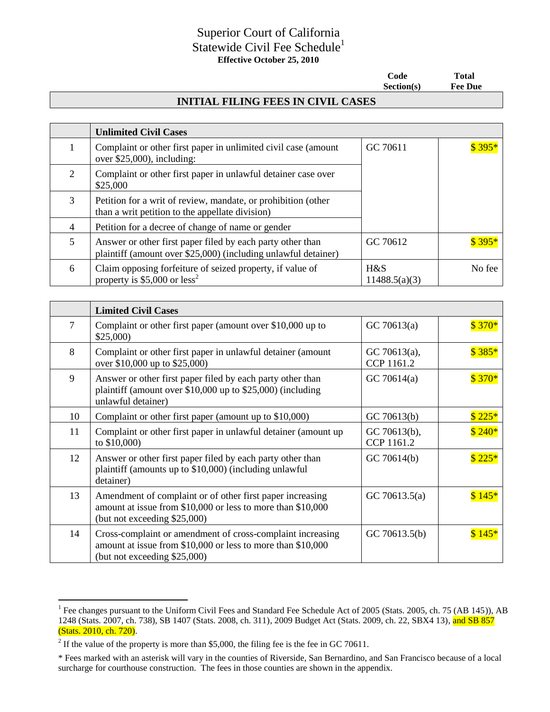## Superior Court of California Statewide Civil Fee Schedule<sup>1</sup> **Effective October 25, 2010**

 **Code Total Section(s) Fee Due**

## **INITIAL FILING FEES IN CIVIL CASES**

|                | <b>Unlimited Civil Cases</b>                                                                                                 |                      |         |
|----------------|------------------------------------------------------------------------------------------------------------------------------|----------------------|---------|
|                | Complaint or other first paper in unlimited civil case (amount<br>over $$25,000$ , including:                                | GC 70611             | $$395*$ |
| $\overline{2}$ | Complaint or other first paper in unlawful detainer case over<br>\$25,000                                                    |                      |         |
| 3              | Petition for a writ of review, mandate, or prohibition (other<br>than a writ petition to the appellate division)             |                      |         |
| $\overline{4}$ | Petition for a decree of change of name or gender                                                                            |                      |         |
| 5              | Answer or other first paper filed by each party other than<br>plaintiff (amount over \$25,000) (including unlawful detainer) | GC 70612             | \$395   |
| 6              | Claim opposing forfeiture of seized property, if value of<br>property is $$5,000$ or less <sup>2</sup>                       | H&S<br>11488.5(a)(3) | No fee  |

|    | <b>Limited Civil Cases</b>                                                                                                                                |                            |         |
|----|-----------------------------------------------------------------------------------------------------------------------------------------------------------|----------------------------|---------|
| 7  | Complaint or other first paper (amount over \$10,000 up to<br>\$25,000                                                                                    | GC70613(a)                 | $$370*$ |
| 8  | Complaint or other first paper in unlawful detainer (amount<br>over \$10,000 up to \$25,000)                                                              | GC 70613(a),<br>CCP 1161.2 | \$385   |
| 9  | Answer or other first paper filed by each party other than<br>plaintiff (amount over \$10,000 up to \$25,000) (including<br>unlawful detainer)            | GC 70614(a)                | $$370*$ |
| 10 | Complaint or other first paper (amount up to \$10,000)                                                                                                    | GC 70613(b)                | $$225*$ |
| 11 | Complaint or other first paper in unlawful detainer (amount up<br>to $$10,000$ )                                                                          | GC 70613(b),<br>CCP 1161.2 | $$240*$ |
| 12 | Answer or other first paper filed by each party other than<br>plaintiff (amounts up to \$10,000) (including unlawful<br>detainer)                         | GC 70614(b)                | \$225   |
| 13 | Amendment of complaint or of other first paper increasing<br>amount at issue from \$10,000 or less to more than \$10,000<br>(but not exceeding \$25,000)  | GC 70613.5(a)              | \$145   |
| 14 | Cross-complaint or amendment of cross-complaint increasing<br>amount at issue from \$10,000 or less to more than \$10,000<br>(but not exceeding \$25,000) | GC 70613.5(b)              | \$145   |

 $\overline{a}$ 

<sup>&</sup>lt;sup>1</sup> Fee changes pursuant to the Uniform Civil Fees and Standard Fee Schedule Act of 2005 (Stats. 2005, ch. 75 (AB 145)), AB 1248 (Stats. 2007, ch. 738), SB 1407 (Stats. 2008, ch. 311), 2009 Budget Act (Stats. 2009, ch. 22, SBX4 13), and SB 857 (Stats. 2010, ch. 720).

<sup>&</sup>lt;sup>2</sup> If the value of the property is more than \$5,000, the filing fee is the fee in GC 70611.

<sup>\*</sup> Fees marked with an asterisk will vary in the counties of Riverside, San Bernardino, and San Francisco because of a local surcharge for courthouse construction. The fees in those counties are shown in the appendix.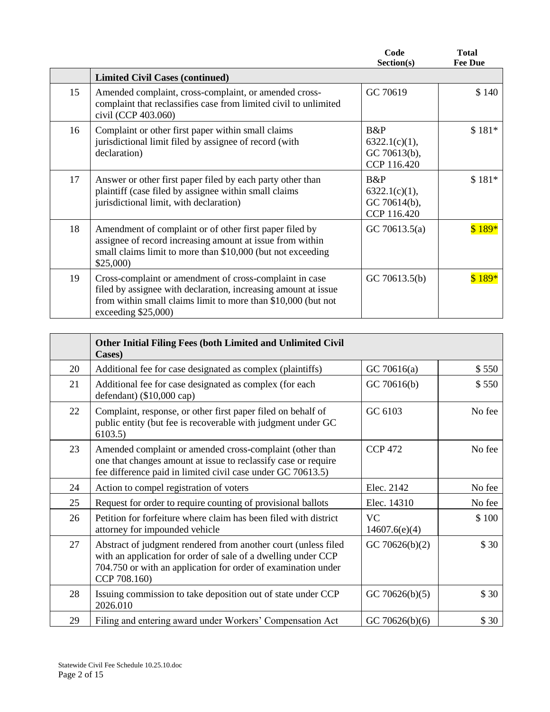|    |                                                                                                                                                                                                                   | Code<br>Section(s)                                  | Total<br><b>Fee Due</b> |
|----|-------------------------------------------------------------------------------------------------------------------------------------------------------------------------------------------------------------------|-----------------------------------------------------|-------------------------|
|    | <b>Limited Civil Cases (continued)</b>                                                                                                                                                                            |                                                     |                         |
| 15 | Amended complaint, cross-complaint, or amended cross-<br>complaint that reclassifies case from limited civil to unlimited<br>civil (CCP 403.060)                                                                  | GC 70619                                            | \$140                   |
| 16 | Complaint or other first paper within small claims<br>jurisdictional limit filed by assignee of record (with<br>declaration)                                                                                      | B&P<br>6322.1(c)(1),<br>GC 70613(b),<br>CCP 116.420 | $$181*$                 |
| 17 | Answer or other first paper filed by each party other than<br>plaintiff (case filed by assignee within small claims)<br>jurisdictional limit, with declaration)                                                   | B&P<br>6322.1(c)(1),<br>GC 70614(b),<br>CCP 116.420 | $$181*$                 |
| 18 | Amendment of complaint or of other first paper filed by<br>assignee of record increasing amount at issue from within<br>small claims limit to more than \$10,000 (but not exceeding<br>\$25,000                   | GC 70613.5(a)                                       | $$189*$                 |
| 19 | Cross-complaint or amendment of cross-complaint in case<br>filed by assignee with declaration, increasing amount at issue<br>from within small claims limit to more than \$10,000 (but not<br>exceeding $$25,000$ | GC 70613.5(b)                                       | $$189*$                 |

|    | Other Initial Filing Fees (both Limited and Unlimited Civil<br>Cases)                                                                                                                                            |                            |        |
|----|------------------------------------------------------------------------------------------------------------------------------------------------------------------------------------------------------------------|----------------------------|--------|
| 20 | Additional fee for case designated as complex (plaintiffs)                                                                                                                                                       | GC70616(a)                 | \$550  |
| 21 | Additional fee for case designated as complex (for each<br>defendant) $(\$10,000$ cap)                                                                                                                           | GC 70616(b)                | \$550  |
| 22 | Complaint, response, or other first paper filed on behalf of<br>public entity (but fee is recoverable with judgment under GC<br>6103.5)                                                                          | GC 6103                    | No fee |
| 23 | Amended complaint or amended cross-complaint (other than<br>one that changes amount at issue to reclassify case or require<br>fee difference paid in limited civil case under GC 70613.5)                        | <b>CCP 472</b>             | No fee |
| 24 | Action to compel registration of voters                                                                                                                                                                          | Elec. 2142                 | No fee |
| 25 | Request for order to require counting of provisional ballots                                                                                                                                                     | Elec. 14310                | No fee |
| 26 | Petition for forfeiture where claim has been filed with district<br>attorney for impounded vehicle                                                                                                               | <b>VC</b><br>14607.6(e)(4) | \$100  |
| 27 | Abstract of judgment rendered from another court (unless filed<br>with an application for order of sale of a dwelling under CCP<br>704.750 or with an application for order of examination under<br>CCP 708.160) | GC 70626(b)(2)             | \$30   |
| 28 | Issuing commission to take deposition out of state under CCP<br>2026.010                                                                                                                                         | GC 70626(b)(5)             | \$30   |
| 29 | Filing and entering award under Workers' Compensation Act                                                                                                                                                        | GC 70626(b)(6)             | \$30   |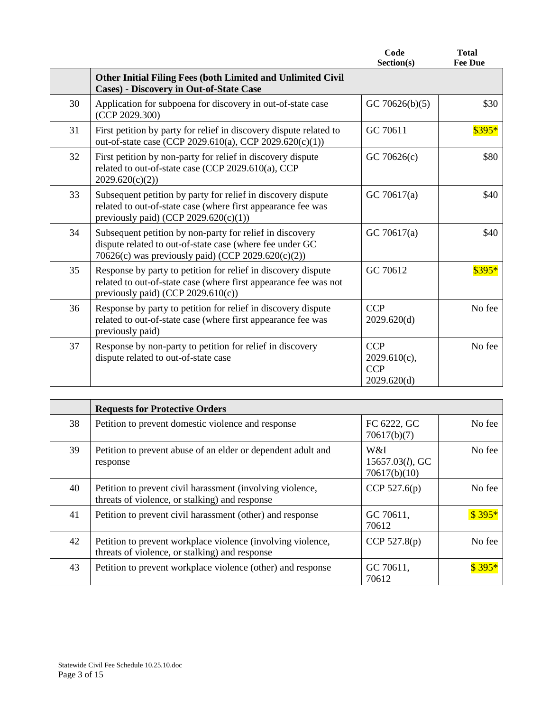|    |                                                                                                                                                                            | Code<br>Section(s)                                         | <b>Total</b><br><b>Fee Due</b> |
|----|----------------------------------------------------------------------------------------------------------------------------------------------------------------------------|------------------------------------------------------------|--------------------------------|
|    | <b>Other Initial Filing Fees (both Limited and Unlimited Civil</b><br><b>Cases)</b> - Discovery in Out-of-State Case                                                       |                                                            |                                |
| 30 | Application for subpoena for discovery in out-of-state case<br>(CCP 2029.300)                                                                                              | GC 70626(b)(5)                                             | \$30                           |
| 31 | First petition by party for relief in discovery dispute related to<br>out-of-state case (CCP 2029.610(a), CCP 2029.620(c)(1))                                              | GC 70611                                                   | $$395*$                        |
| 32 | First petition by non-party for relief in discovery dispute<br>related to out-of-state case (CCP 2029.610(a), CCP<br>2029.620(c)(2)                                        | GC 70626(c)                                                | \$80                           |
| 33 | Subsequent petition by party for relief in discovery dispute<br>related to out-of-state case (where first appearance fee was<br>previously paid) (CCP $2029.620(c)(1)$ )   | GC 70617(a)                                                | \$40                           |
| 34 | Subsequent petition by non-party for relief in discovery<br>dispute related to out-of-state case (where fee under GC<br>70626(c) was previously paid) (CCP 2029.620(c)(2)) | GC 70617(a)                                                | \$40                           |
| 35 | Response by party to petition for relief in discovery dispute<br>related to out-of-state case (where first appearance fee was not<br>previously paid) (CCP $2029.610(c)$ ) | GC 70612                                                   | $$395*$                        |
| 36 | Response by party to petition for relief in discovery dispute<br>related to out-of-state case (where first appearance fee was<br>previously paid)                          | <b>CCP</b><br>2029.620(d)                                  | No fee                         |
| 37 | Response by non-party to petition for relief in discovery<br>dispute related to out-of-state case                                                                          | <b>CCP</b><br>$2029.610(c)$ ,<br><b>CCP</b><br>2029.620(d) | No fee                         |

|    | <b>Requests for Protective Orders</b>                                                                         |                                           |        |
|----|---------------------------------------------------------------------------------------------------------------|-------------------------------------------|--------|
| 38 | Petition to prevent domestic violence and response                                                            | FC 6222, GC<br>70617(b)(7)                | No fee |
| 39 | Petition to prevent abuse of an elder or dependent adult and<br>response                                      | W&I<br>$15657.03(l)$ , GC<br>70617(b)(10) | No fee |
| 40 | Petition to prevent civil harassment (involving violence,<br>threats of violence, or stalking) and response   | CCP $527.6(p)$                            | No fee |
| 41 | Petition to prevent civil harassment (other) and response                                                     | GC 70611,<br>70612                        | \$395  |
| 42 | Petition to prevent workplace violence (involving violence,<br>threats of violence, or stalking) and response | CCP $527.8(p)$                            | No fee |
| 43 | Petition to prevent workplace violence (other) and response                                                   | GC 70611,<br>70612                        |        |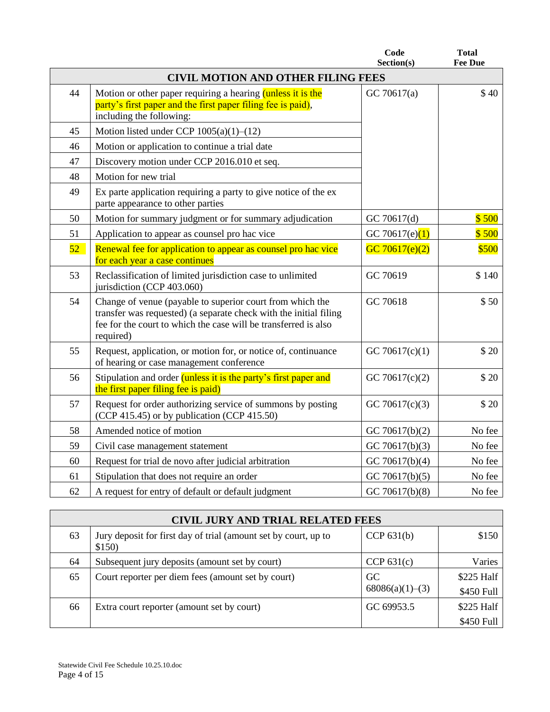|                 |                                                                                                                                                                                                                | Code<br>Section(s) | <b>Total</b><br><b>Fee Due</b> |
|-----------------|----------------------------------------------------------------------------------------------------------------------------------------------------------------------------------------------------------------|--------------------|--------------------------------|
|                 | <b>CIVIL MOTION AND OTHER FILING FEES</b>                                                                                                                                                                      |                    |                                |
| 44              | Motion or other paper requiring a hearing (unless it is the<br>party's first paper and the first paper filing fee is paid),<br>including the following:                                                        | GC 70617(a)        | \$40                           |
| 45              | Motion listed under CCP 1005(a)(1)-(12)                                                                                                                                                                        |                    |                                |
| 46              | Motion or application to continue a trial date                                                                                                                                                                 |                    |                                |
| 47              | Discovery motion under CCP 2016.010 et seq.                                                                                                                                                                    |                    |                                |
| 48              | Motion for new trial                                                                                                                                                                                           |                    |                                |
| 49              | Ex parte application requiring a party to give notice of the ex-<br>parte appearance to other parties                                                                                                          |                    |                                |
| 50              | Motion for summary judgment or for summary adjudication                                                                                                                                                        | GC 70617(d)        | \$500                          |
| 51              | Application to appear as counsel pro hac vice                                                                                                                                                                  | GC 70617(e) $(1)$  | \$500                          |
| 52 <sup>°</sup> | Renewal fee for application to appear as counsel pro hac vice<br>for each year a case continues                                                                                                                | GC $70617(e)(2)$   | \$500                          |
| 53              | Reclassification of limited jurisdiction case to unlimited<br>jurisdiction (CCP 403.060)                                                                                                                       | GC 70619           | \$140                          |
| 54              | Change of venue (payable to superior court from which the<br>transfer was requested) (a separate check with the initial filing<br>fee for the court to which the case will be transferred is also<br>required) | GC 70618           | \$50                           |
| 55              | Request, application, or motion for, or notice of, continuance<br>of hearing or case management conference                                                                                                     | GC 70617 $(c)(1)$  | \$20                           |
| 56              | Stipulation and order <i>(unless it is the party's first paper and</i><br>the first paper filing fee is paid)                                                                                                  | GC 70617(c)(2)     | \$20                           |
| 57              | Request for order authorizing service of summons by posting<br>(CCP 415.45) or by publication (CCP 415.50)                                                                                                     | GC 70617(c)(3)     | $$20$                          |
| 58              | Amended notice of motion                                                                                                                                                                                       | GC 70617(b)(2)     | No fee                         |
| 59              | Civil case management statement                                                                                                                                                                                | GC 70617(b)(3)     | No fee                         |
| 60              | Request for trial de novo after judicial arbitration                                                                                                                                                           | GC 70617(b)(4)     | No fee                         |
| 61              | Stipulation that does not require an order                                                                                                                                                                     | GC 70617(b)(5)     | No fee                         |
| 62              | A request for entry of default or default judgment                                                                                                                                                             | GC 70617(b) $(8)$  | No fee                         |

|    | <b>CIVIL JURY AND TRIAL RELATED FEES</b>                                  |                       |                          |  |
|----|---------------------------------------------------------------------------|-----------------------|--------------------------|--|
| 63 | Jury deposit for first day of trial (amount set by court, up to<br>\$150) | CCP $631(b)$          | \$150                    |  |
| 64 | Subsequent jury deposits (amount set by court)                            | CCP $631(c)$          | Varies                   |  |
| 65 | Court reporter per diem fees (amount set by court)                        | GC<br>68086(a)(1)–(3) | \$225 Half<br>\$450 Full |  |
| 66 | Extra court reporter (amount set by court)                                | GC 69953.5            | \$225 Half               |  |
|    |                                                                           |                       | \$450 Full               |  |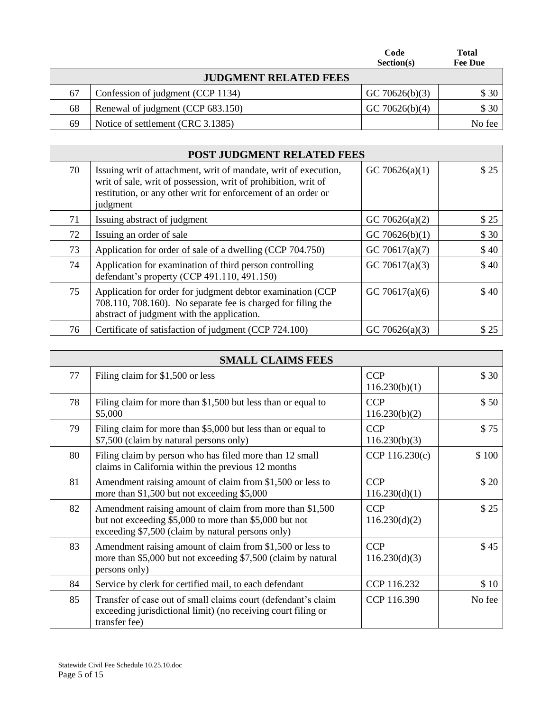|    |                                   | Code<br>Section(s) | <b>Total</b><br><b>Fee Due</b> |
|----|-----------------------------------|--------------------|--------------------------------|
|    | <b>JUDGMENT RELATED FEES</b>      |                    |                                |
| 67 | Confession of judgment (CCP 1134) | GC 70626(b)(3)     | \$ 30                          |
| 68 | Renewal of judgment (CCP 683.150) | GC 70626(b)(4)     | \$30                           |
| 69 | Notice of settlement (CRC 3.1385) |                    | No fee                         |

|    | <b>POST JUDGMENT RELATED FEES</b>                                                                                                                                                                              |                   |      |  |
|----|----------------------------------------------------------------------------------------------------------------------------------------------------------------------------------------------------------------|-------------------|------|--|
| 70 | Issuing writ of attachment, writ of mandate, writ of execution,<br>writ of sale, writ of possession, writ of prohibition, writ of<br>restitution, or any other writ for enforcement of an order or<br>judgment | GC 70626(a)(1)    | \$25 |  |
| 71 | Issuing abstract of judgment                                                                                                                                                                                   | GC 70626(a)(2)    | \$25 |  |
| 72 | Issuing an order of sale                                                                                                                                                                                       | GC 70626(b)(1)    | \$30 |  |
| 73 | Application for order of sale of a dwelling (CCP 704.750)                                                                                                                                                      | GC 70617(a) $(7)$ | \$40 |  |
| 74 | Application for examination of third person controlling<br>defendant's property (CCP 491.110, 491.150)                                                                                                         | GC 70617(a)(3)    | \$40 |  |
| 75 | Application for order for judgment debtor examination (CCP<br>708.110, 708.160). No separate fee is charged for filing the<br>abstract of judgment with the application.                                       | GC 70617 $(a)(6)$ | \$40 |  |
| 76 | Certificate of satisfaction of judgment (CCP 724.100)                                                                                                                                                          | GC 70626(a)(3)    | \$25 |  |

|    | <b>SMALL CLAIMS FEES</b>                                                                                                                                                |                             |        |
|----|-------------------------------------------------------------------------------------------------------------------------------------------------------------------------|-----------------------------|--------|
| 77 | Filing claim for \$1,500 or less                                                                                                                                        | <b>CCP</b><br>116.230(b)(1) | \$30   |
| 78 | Filing claim for more than \$1,500 but less than or equal to<br>\$5,000                                                                                                 | <b>CCP</b><br>116.230(b)(2) | \$50   |
| 79 | Filing claim for more than \$5,000 but less than or equal to<br>\$7,500 (claim by natural persons only)                                                                 | <b>CCP</b><br>116.230(b)(3) | \$75   |
| 80 | Filing claim by person who has filed more than 12 small<br>claims in California within the previous 12 months                                                           | CCP 116.230(c)              | \$100  |
| 81 | Amendment raising amount of claim from \$1,500 or less to<br>more than \$1,500 but not exceeding \$5,000                                                                | <b>CCP</b><br>116.230(d)(1) | \$20   |
| 82 | Amendment raising amount of claim from more than \$1,500<br>but not exceeding \$5,000 to more than \$5,000 but not<br>exceeding \$7,500 (claim by natural persons only) | <b>CCP</b><br>116.230(d)(2) | \$25   |
| 83 | Amendment raising amount of claim from \$1,500 or less to<br>more than \$5,000 but not exceeding \$7,500 (claim by natural<br>persons only)                             | <b>CCP</b><br>116.230(d)(3) | \$45   |
| 84 | Service by clerk for certified mail, to each defendant                                                                                                                  | CCP 116.232                 | \$10   |
| 85 | Transfer of case out of small claims court (defendant's claim<br>exceeding jurisdictional limit) (no receiving court filing or<br>transfer fee)                         | CCP 116.390                 | No fee |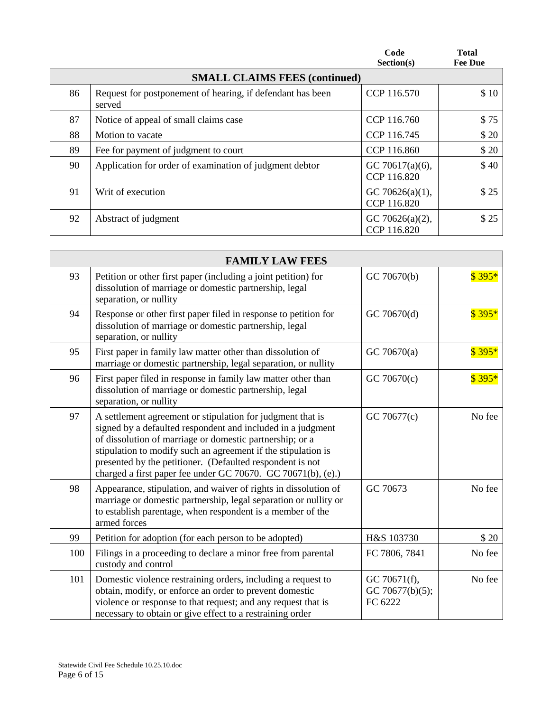|    |                                                                      | Code<br>Section(s)                 | <b>Total</b><br><b>Fee Due</b> |
|----|----------------------------------------------------------------------|------------------------------------|--------------------------------|
|    | <b>SMALL CLAIMS FEES (continued)</b>                                 |                                    |                                |
| 86 | Request for postponement of hearing, if defendant has been<br>served | CCP 116.570                        | \$10                           |
| 87 | Notice of appeal of small claims case                                | CCP 116.760                        | \$75                           |
| 88 | Motion to vacate                                                     | CCP 116.745                        | \$20                           |
| 89 | Fee for payment of judgment to court                                 | CCP 116.860                        | \$20                           |
| 90 | Application for order of examination of judgment debtor              | GC 70617 $(a)(6)$ ,<br>CCP 116.820 | \$40                           |
| 91 | Writ of execution                                                    | GC 70626(a)(1),<br>CCP 116.820     | \$25                           |
| 92 | Abstract of judgment                                                 | GC 70626(a) $(2)$ ,<br>CCP 116.820 | \$25                           |

|     | <b>FAMILY LAW FEES</b>                                                                                                                                                                                                                                                                                                                                                              |                                            |         |
|-----|-------------------------------------------------------------------------------------------------------------------------------------------------------------------------------------------------------------------------------------------------------------------------------------------------------------------------------------------------------------------------------------|--------------------------------------------|---------|
| 93  | Petition or other first paper (including a joint petition) for<br>dissolution of marriage or domestic partnership, legal<br>separation, or nullity                                                                                                                                                                                                                                  | GC 70670(b)                                | $$395*$ |
| 94  | Response or other first paper filed in response to petition for<br>dissolution of marriage or domestic partnership, legal<br>separation, or nullity                                                                                                                                                                                                                                 | GC 70670(d)                                | $$395*$ |
| 95  | First paper in family law matter other than dissolution of<br>marriage or domestic partnership, legal separation, or nullity                                                                                                                                                                                                                                                        | GC 70670(a)                                | $$395*$ |
| 96  | First paper filed in response in family law matter other than<br>dissolution of marriage or domestic partnership, legal<br>separation, or nullity                                                                                                                                                                                                                                   | GC 70670(c)                                | $$395*$ |
| 97  | A settlement agreement or stipulation for judgment that is<br>signed by a defaulted respondent and included in a judgment<br>of dissolution of marriage or domestic partnership; or a<br>stipulation to modify such an agreement if the stipulation is<br>presented by the petitioner. (Defaulted respondent is not<br>charged a first paper fee under GC 70670. GC 70671(b), (e).) | GC 70677(c)                                | No fee  |
| 98  | Appearance, stipulation, and waiver of rights in dissolution of<br>marriage or domestic partnership, legal separation or nullity or<br>to establish parentage, when respondent is a member of the<br>armed forces                                                                                                                                                                   | GC 70673                                   | No fee  |
| 99  | Petition for adoption (for each person to be adopted)                                                                                                                                                                                                                                                                                                                               | H&S 103730                                 | \$20    |
| 100 | Filings in a proceeding to declare a minor free from parental<br>custody and control                                                                                                                                                                                                                                                                                                | FC 7806, 7841                              | No fee  |
| 101 | Domestic violence restraining orders, including a request to<br>obtain, modify, or enforce an order to prevent domestic<br>violence or response to that request; and any request that is<br>necessary to obtain or give effect to a restraining order                                                                                                                               | GC 70671(f),<br>GC 70677(b)(5);<br>FC 6222 | No fee  |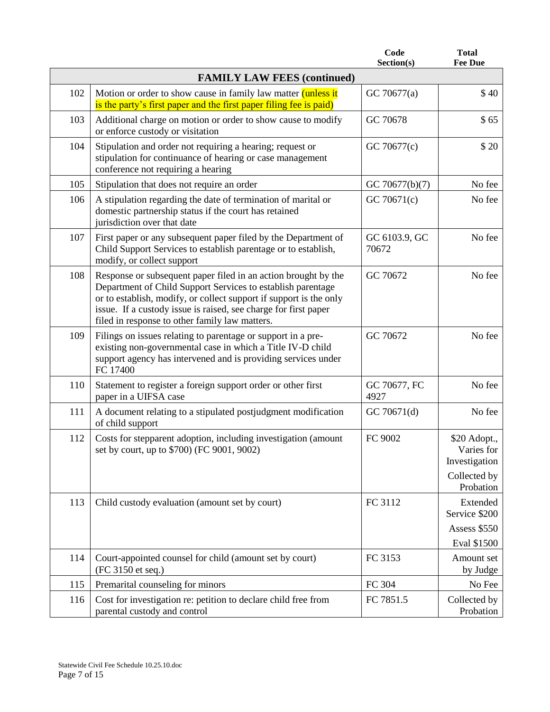|     |                                                                                                                                                                                                                                                                                                                          | Code<br>Section(s)     | <b>Total</b><br><b>Fee Due</b>                                           |
|-----|--------------------------------------------------------------------------------------------------------------------------------------------------------------------------------------------------------------------------------------------------------------------------------------------------------------------------|------------------------|--------------------------------------------------------------------------|
|     | <b>FAMILY LAW FEES (continued)</b>                                                                                                                                                                                                                                                                                       |                        |                                                                          |
| 102 | Motion or order to show cause in family law matter <i>(unless it</i> )<br>is the party's first paper and the first paper filing fee is paid)                                                                                                                                                                             | GC 70677(a)            | \$40                                                                     |
| 103 | Additional charge on motion or order to show cause to modify<br>or enforce custody or visitation                                                                                                                                                                                                                         | GC 70678               | \$65                                                                     |
| 104 | Stipulation and order not requiring a hearing; request or<br>stipulation for continuance of hearing or case management<br>conference not requiring a hearing                                                                                                                                                             | GC 70677(c)            | \$20                                                                     |
| 105 | Stipulation that does not require an order                                                                                                                                                                                                                                                                               | GC 70677(b)(7)         | No fee                                                                   |
| 106 | A stipulation regarding the date of termination of marital or<br>domestic partnership status if the court has retained<br>jurisdiction over that date                                                                                                                                                                    | GC 70671(c)            | No fee                                                                   |
| 107 | First paper or any subsequent paper filed by the Department of<br>Child Support Services to establish parentage or to establish,<br>modify, or collect support                                                                                                                                                           | GC 6103.9, GC<br>70672 | No fee                                                                   |
| 108 | Response or subsequent paper filed in an action brought by the<br>Department of Child Support Services to establish parentage<br>or to establish, modify, or collect support if support is the only<br>issue. If a custody issue is raised, see charge for first paper<br>filed in response to other family law matters. | GC 70672               | No fee                                                                   |
| 109 | Filings on issues relating to parentage or support in a pre-<br>existing non-governmental case in which a Title IV-D child<br>support agency has intervened and is providing services under<br>FC 17400                                                                                                                  | GC 70672               | No fee                                                                   |
| 110 | Statement to register a foreign support order or other first<br>paper in a UIFSA case                                                                                                                                                                                                                                    | GC 70677, FC<br>4927   | No fee                                                                   |
| 111 | A document relating to a stipulated postjudgment modification<br>of child support                                                                                                                                                                                                                                        | GC 70671(d)            | No fee                                                                   |
| 112 | Costs for stepparent adoption, including investigation (amount<br>set by court, up to \$700) (FC 9001, 9002)                                                                                                                                                                                                             | FC 9002                | \$20 Adopt.,<br>Varies for<br>Investigation<br>Collected by<br>Probation |
| 113 | Child custody evaluation (amount set by court)                                                                                                                                                                                                                                                                           | FC 3112                | Extended<br>Service \$200<br>Assess \$550<br>Eval \$1500                 |
| 114 | Court-appointed counsel for child (amount set by court)<br>(FC 3150 et seq.)                                                                                                                                                                                                                                             | FC 3153                | Amount set<br>by Judge                                                   |
| 115 | Premarital counseling for minors                                                                                                                                                                                                                                                                                         | FC 304                 | No Fee                                                                   |
| 116 | Cost for investigation re: petition to declare child free from<br>parental custody and control                                                                                                                                                                                                                           | FC 7851.5              | Collected by<br>Probation                                                |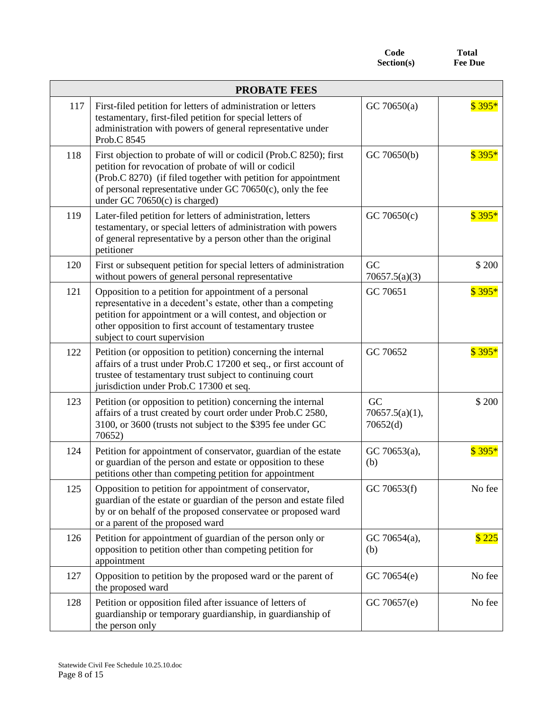Code **Total**<br>ection(s) Fee Due  $Section(s)$ 

| <b>PROBATE FEES</b> |                                                                                                                                                                                                                                                                                                     |                                  |         |
|---------------------|-----------------------------------------------------------------------------------------------------------------------------------------------------------------------------------------------------------------------------------------------------------------------------------------------------|----------------------------------|---------|
| 117                 | First-filed petition for letters of administration or letters<br>testamentary, first-filed petition for special letters of<br>administration with powers of general representative under<br>Prob.C 8545                                                                                             | GC 70650(a)                      | $$395*$ |
| 118                 | First objection to probate of will or codicil (Prob.C 8250); first<br>petition for revocation of probate of will or codicil<br>(Prob.C 8270) (if filed together with petition for appointment<br>of personal representative under GC 70650 $(c)$ , only the fee<br>under GC 70650 $(c)$ is charged) | GC 70650(b)                      | $$395*$ |
| 119                 | Later-filed petition for letters of administration, letters<br>testamentary, or special letters of administration with powers<br>of general representative by a person other than the original<br>petitioner                                                                                        | GC 70650(c)                      | $$395*$ |
| 120                 | First or subsequent petition for special letters of administration<br>without powers of general personal representative                                                                                                                                                                             | GC<br>70657.5(a)(3)              | \$200   |
| 121                 | Opposition to a petition for appointment of a personal<br>representative in a decedent's estate, other than a competing<br>petition for appointment or a will contest, and objection or<br>other opposition to first account of testamentary trustee<br>subject to court supervision                | GC 70651                         | $$395*$ |
| 122                 | Petition (or opposition to petition) concerning the internal<br>affairs of a trust under Prob.C 17200 et seq., or first account of<br>trustee of testamentary trust subject to continuing court<br>jurisdiction under Prob.C 17300 et seq.                                                          | GC 70652                         | $$395*$ |
| 123                 | Petition (or opposition to petition) concerning the internal<br>affairs of a trust created by court order under Prob.C 2580,<br>3100, or 3600 (trusts not subject to the \$395 fee under GC<br>70652)                                                                                               | GC<br>70657.5(a)(1),<br>70652(d) | \$200   |
| 124                 | Petition for appointment of conservator, guardian of the estate<br>or guardian of the person and estate or opposition to these<br>petitions other than competing petition for appointment                                                                                                           | GC 70653(a),<br>(b)              | $$395*$ |
| 125                 | Opposition to petition for appointment of conservator,<br>guardian of the estate or guardian of the person and estate filed<br>by or on behalf of the proposed conservatee or proposed ward<br>or a parent of the proposed ward                                                                     | GC 70653(f)                      | No fee  |
| 126                 | Petition for appointment of guardian of the person only or<br>opposition to petition other than competing petition for<br>appointment                                                                                                                                                               | GC 70654(a),<br>(b)              | \$225   |
| 127                 | Opposition to petition by the proposed ward or the parent of<br>the proposed ward                                                                                                                                                                                                                   | GC 70654(e)                      | No fee  |
| 128                 | Petition or opposition filed after issuance of letters of<br>guardianship or temporary guardianship, in guardianship of<br>the person only                                                                                                                                                          | GC 70657(e)                      | No fee  |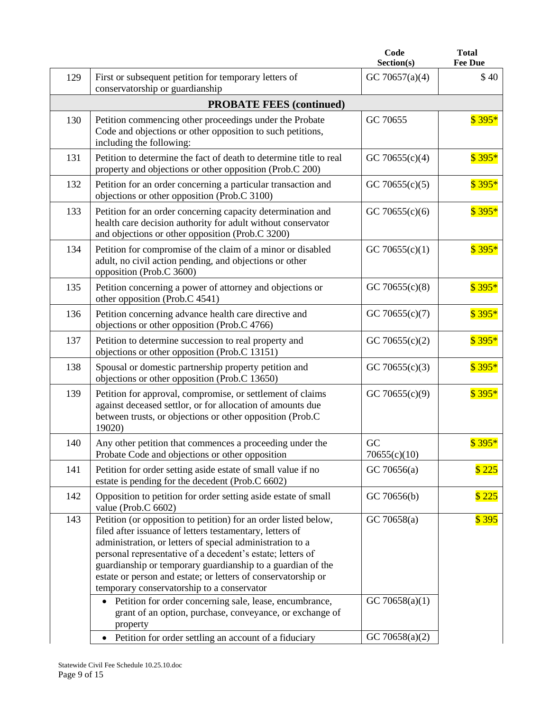|     |                                                                                                                                                                                                                                                                                                                                                                                                                                      | Code<br>Section(s) | <b>Total</b><br><b>Fee Due</b> |
|-----|--------------------------------------------------------------------------------------------------------------------------------------------------------------------------------------------------------------------------------------------------------------------------------------------------------------------------------------------------------------------------------------------------------------------------------------|--------------------|--------------------------------|
| 129 | First or subsequent petition for temporary letters of<br>conservatorship or guardianship                                                                                                                                                                                                                                                                                                                                             | GC 70657(a)(4)     | \$40                           |
|     | <b>PROBATE FEES (continued)</b>                                                                                                                                                                                                                                                                                                                                                                                                      |                    |                                |
| 130 | Petition commencing other proceedings under the Probate<br>Code and objections or other opposition to such petitions,<br>including the following:                                                                                                                                                                                                                                                                                    | GC 70655           | $$395*$                        |
| 131 | Petition to determine the fact of death to determine title to real<br>property and objections or other opposition (Prob.C 200)                                                                                                                                                                                                                                                                                                       | GC 70655 $(c)(4)$  | $$395*$                        |
| 132 | Petition for an order concerning a particular transaction and<br>objections or other opposition (Prob.C 3100)                                                                                                                                                                                                                                                                                                                        | GC 70655 $(c)(5)$  | $$395*$                        |
| 133 | Petition for an order concerning capacity determination and<br>health care decision authority for adult without conservator<br>and objections or other opposition (Prob.C 3200)                                                                                                                                                                                                                                                      | GC 70655 $(c)(6)$  | $$395*$                        |
| 134 | Petition for compromise of the claim of a minor or disabled<br>adult, no civil action pending, and objections or other<br>opposition (Prob.C 3600)                                                                                                                                                                                                                                                                                   | GC 70655 $(c)(1)$  | $$395*$                        |
| 135 | Petition concerning a power of attorney and objections or<br>other opposition (Prob.C 4541)                                                                                                                                                                                                                                                                                                                                          | GC 70655 $(c)(8)$  | $$395*$                        |
| 136 | Petition concerning advance health care directive and<br>objections or other opposition (Prob.C 4766)                                                                                                                                                                                                                                                                                                                                | GC 70655 $(c)(7)$  | $$395*$                        |
| 137 | Petition to determine succession to real property and<br>objections or other opposition (Prob.C 13151)                                                                                                                                                                                                                                                                                                                               | GC 70655 $(c)(2)$  | $$395*$                        |
| 138 | Spousal or domestic partnership property petition and<br>objections or other opposition (Prob.C 13650)                                                                                                                                                                                                                                                                                                                               | GC 70655 $(c)(3)$  | $$395*$                        |
| 139 | Petition for approval, compromise, or settlement of claims<br>against deceased settlor, or for allocation of amounts due<br>between trusts, or objections or other opposition (Prob.C<br>19020)                                                                                                                                                                                                                                      | GC 70655 $(c)(9)$  | $$395*$                        |
| 140 | Any other petition that commences a proceeding under the<br>Probate Code and objections or other opposition                                                                                                                                                                                                                                                                                                                          | GC<br>70655(c)(10) | $$395*$                        |
| 141 | Petition for order setting aside estate of small value if no<br>estate is pending for the decedent (Prob.C 6602)                                                                                                                                                                                                                                                                                                                     | GC70656(a)         | \$225                          |
| 142 | Opposition to petition for order setting aside estate of small<br>value (Prob.C 6602)                                                                                                                                                                                                                                                                                                                                                | GC 70656(b)        | \$225                          |
| 143 | Petition (or opposition to petition) for an order listed below,<br>filed after issuance of letters testamentary, letters of<br>administration, or letters of special administration to a<br>personal representative of a decedent's estate; letters of<br>guardianship or temporary guardianship to a guardian of the<br>estate or person and estate; or letters of conservatorship or<br>temporary conservatorship to a conservator | GC70658(a)         | \$395                          |
|     | • Petition for order concerning sale, lease, encumbrance,<br>grant of an option, purchase, conveyance, or exchange of<br>property                                                                                                                                                                                                                                                                                                    | GC 70658(a)(1)     |                                |
|     | Petition for order settling an account of a fiduciary<br>$\bullet$                                                                                                                                                                                                                                                                                                                                                                   | GC 70658(a) $(2)$  |                                |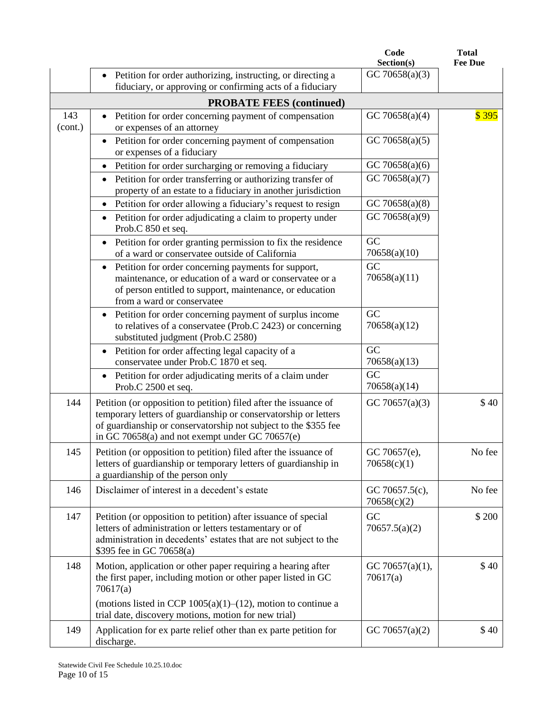|                |                                                                                                                                                                                                                                                           | Code<br>Section(s)            | <b>Total</b><br><b>Fee Due</b> |
|----------------|-----------------------------------------------------------------------------------------------------------------------------------------------------------------------------------------------------------------------------------------------------------|-------------------------------|--------------------------------|
|                | Petition for order authorizing, instructing, or directing a<br>fiduciary, or approving or confirming acts of a fiduciary                                                                                                                                  | GC 70658(a)(3)                |                                |
|                | <b>PROBATE FEES (continued)</b>                                                                                                                                                                                                                           |                               |                                |
| 143<br>(cont.) | Petition for order concerning payment of compensation<br>or expenses of an attorney                                                                                                                                                                       | GC 70658(a)(4)                | \$395                          |
|                | Petition for order concerning payment of compensation<br>or expenses of a fiduciary                                                                                                                                                                       | GC 70658(a)(5)                |                                |
|                | Petition for order surcharging or removing a fiduciary                                                                                                                                                                                                    | GC 70658(a)(6)                |                                |
|                | Petition for order transferring or authorizing transfer of<br>$\bullet$<br>property of an estate to a fiduciary in another jurisdiction                                                                                                                   | GC 70658(a)(7)                |                                |
|                | Petition for order allowing a fiduciary's request to resign                                                                                                                                                                                               | GC 70658(a) $(8)$             |                                |
|                | Petition for order adjudicating a claim to property under<br>Prob.C 850 et seq.                                                                                                                                                                           | GC 70658(a)(9)                |                                |
|                | Petition for order granting permission to fix the residence<br>of a ward or conservatee outside of California                                                                                                                                             | GC<br>70658(a)(10)            |                                |
|                | Petition for order concerning payments for support,<br>maintenance, or education of a ward or conservatee or a<br>of person entitled to support, maintenance, or education<br>from a ward or conservatee                                                  | GC<br>70658(a)(11)            |                                |
|                | Petition for order concerning payment of surplus income<br>to relatives of a conservatee (Prob.C 2423) or concerning<br>substituted judgment (Prob.C 2580)                                                                                                | GC<br>70658(a)(12)            |                                |
|                | Petition for order affecting legal capacity of a<br>conservatee under Prob.C 1870 et seq.                                                                                                                                                                 | GC<br>70658(a)(13)            |                                |
|                | Petition for order adjudicating merits of a claim under<br>Prob.C 2500 et seq.                                                                                                                                                                            | GC<br>70658(a)(14)            |                                |
| 144            | Petition (or opposition to petition) filed after the issuance of<br>temporary letters of guardianship or conservatorship or letters<br>of guardianship or conservatorship not subject to the \$355 fee<br>in GC 70658(a) and not exempt under GC 70657(e) | GC 70657(a)(3)                | \$40                           |
| 145            | Petition (or opposition to petition) filed after the issuance of<br>letters of guardianship or temporary letters of guardianship in<br>a guardianship of the person only                                                                                  | GC 70657(e),<br>70658(c)(1)   | No fee                         |
| 146            | Disclaimer of interest in a decedent's estate                                                                                                                                                                                                             | GC 70657.5(c),<br>70658(c)(2) | No fee                         |
| 147            | Petition (or opposition to petition) after issuance of special<br>letters of administration or letters testamentary or of<br>administration in decedents' estates that are not subject to the<br>\$395 fee in GC 70658(a)                                 | GC<br>70657.5(a)(2)           | \$ 200                         |
| 148            | Motion, application or other paper requiring a hearing after<br>the first paper, including motion or other paper listed in GC<br>70617(a)                                                                                                                 | GC 70657(a)(1),<br>70617(a)   | \$40                           |
|                | (motions listed in CCP $1005(a)(1)$ – $(12)$ , motion to continue a<br>trial date, discovery motions, motion for new trial)                                                                                                                               |                               |                                |
| 149            | Application for ex parte relief other than ex parte petition for<br>discharge.                                                                                                                                                                            | GC 70657(a) $(2)$             | \$40                           |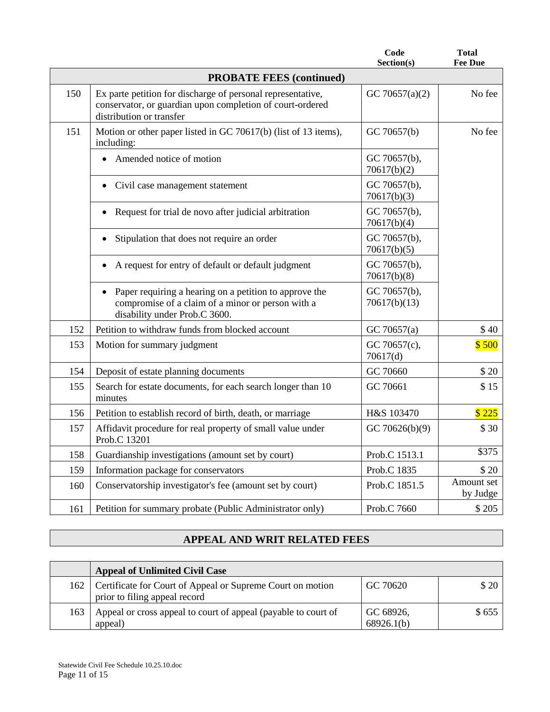|     |                                                                                                                                                      | Code<br>Section(s)           | <b>Total</b><br><b>Fee Due</b> |
|-----|------------------------------------------------------------------------------------------------------------------------------------------------------|------------------------------|--------------------------------|
|     | <b>PROBATE FEES (continued)</b>                                                                                                                      |                              |                                |
| 150 | Ex parte petition for discharge of personal representative,<br>conservator, or guardian upon completion of court-ordered<br>distribution or transfer | GC 70657(a)(2)               | No fee                         |
| 151 | Motion or other paper listed in GC 70617(b) (list of 13 items),<br>including:                                                                        | GC 70657(b)                  | No fee                         |
|     | Amended notice of motion<br>$\bullet$                                                                                                                | GC 70657(b),<br>70617(b)(2)  |                                |
|     | Civil case management statement                                                                                                                      | GC 70657(b),<br>70617(b)(3)  |                                |
|     | Request for trial de novo after judicial arbitration                                                                                                 | GC 70657(b),<br>70617(b)(4)  |                                |
|     | Stipulation that does not require an order<br>$\bullet$                                                                                              | GC 70657(b),<br>70617(b)(5)  |                                |
|     | A request for entry of default or default judgment<br>$\bullet$                                                                                      | GC 70657(b),<br>70617(b)(8)  |                                |
|     | Paper requiring a hearing on a petition to approve the<br>compromise of a claim of a minor or person with a<br>disability under Prob.C 3600.         | GC 70657(b),<br>70617(b)(13) |                                |
| 152 | Petition to withdraw funds from blocked account                                                                                                      | GC 70657(a)                  | \$40                           |
| 153 | Motion for summary judgment                                                                                                                          | GC 70657(c),<br>70617(d)     | \$500                          |
| 154 | Deposit of estate planning documents                                                                                                                 | GC 70660                     | \$20                           |
| 155 | Search for estate documents, for each search longer than 10<br>minutes                                                                               | GC 70661                     | \$15                           |
| 156 | Petition to establish record of birth, death, or marriage                                                                                            | H&S 103470                   | \$225                          |
| 157 | Affidavit procedure for real property of small value under<br>Prob.C 13201                                                                           | GC 70626(b)(9)               | \$30                           |
| 158 | Guardianship investigations (amount set by court)                                                                                                    | Prob.C 1513.1                | \$375                          |
| 159 | Information package for conservators                                                                                                                 | Prob.C 1835                  | \$20                           |
| 160 | Conservatorship investigator's fee (amount set by court)                                                                                             | Prob.C 1851.5                | Amount set<br>by Judge         |
| 161 | Petition for summary probate (Public Administrator only)                                                                                             | Prob.C 7660                  | \$205                          |

# **APPEAL AND WRIT RELATED FEES**

|     | <b>Appeal of Unlimited Civil Case</b>                                                       |                         |       |
|-----|---------------------------------------------------------------------------------------------|-------------------------|-------|
| 162 | Certificate for Court of Appeal or Supreme Court on motion<br>prior to filing appeal record | GC 70620                | \$20  |
| 163 | Appeal or cross appeal to court of appeal (payable to court of<br>appeal)                   | GC 68926,<br>68926.1(b) | \$655 |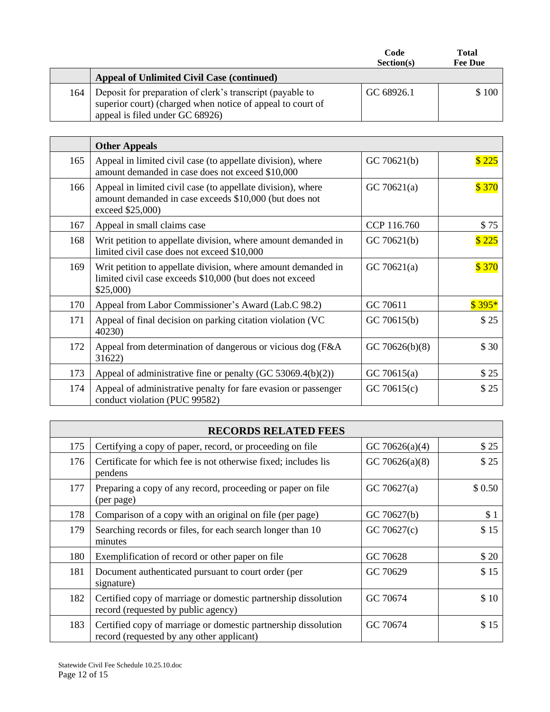|     |                                                                                                                                                            | Code<br>Section(s) | <b>Total</b><br><b>Fee Due</b> |
|-----|------------------------------------------------------------------------------------------------------------------------------------------------------------|--------------------|--------------------------------|
|     | <b>Appeal of Unlimited Civil Case (continued)</b>                                                                                                          |                    |                                |
| 164 | Deposit for preparation of clerk's transcript (payable to<br>superior court) (charged when notice of appeal to court of<br>appeal is filed under GC 68926) | GC 68926.1         | \$100                          |

|     | <b>Other Appeals</b>                                                                                                                      |                |         |
|-----|-------------------------------------------------------------------------------------------------------------------------------------------|----------------|---------|
| 165 | Appeal in limited civil case (to appellate division), where<br>amount demanded in case does not exceed \$10,000                           | GC 70621(b)    | \$225   |
| 166 | Appeal in limited civil case (to appellate division), where<br>amount demanded in case exceeds \$10,000 (but does not<br>exceed \$25,000) | GC 70621(a)    | \$370   |
| 167 | Appeal in small claims case                                                                                                               | CCP 116.760    | \$75    |
| 168 | Writ petition to appellate division, where amount demanded in<br>limited civil case does not exceed \$10,000                              | GC 70621(b)    | \$225   |
| 169 | Writ petition to appellate division, where amount demanded in<br>limited civil case exceeds \$10,000 (but does not exceed<br>\$25,000     | GC 70621(a)    | \$370   |
| 170 | Appeal from Labor Commissioner's Award (Lab.C 98.2)                                                                                       | GC 70611       | $$395*$ |
| 171 | Appeal of final decision on parking citation violation (VC<br>40230)                                                                      | GC 70615(b)    | \$25    |
| 172 | Appeal from determination of dangerous or vicious dog (F&A)<br>31622)                                                                     | GC 70626(b)(8) | \$30    |
| 173 | Appeal of administrative fine or penalty (GC 53069.4(b)(2))                                                                               | GC 70615(a)    | \$25    |
| 174 | Appeal of administrative penalty for fare evasion or passenger<br>conduct violation (PUC 99582)                                           | GC 70615(c)    | \$25    |

| <b>RECORDS RELATED FEES</b> |                                                                                                             |                   |        |
|-----------------------------|-------------------------------------------------------------------------------------------------------------|-------------------|--------|
| 175                         | Certifying a copy of paper, record, or proceeding on file                                                   | GC 70626(a)(4)    | \$25   |
| 176                         | Certificate for which fee is not otherwise fixed; includes lis<br>pendens                                   | GC 70626(a) $(8)$ | \$25   |
| 177                         | Preparing a copy of any record, proceeding or paper on file<br>(per page)                                   | GC 70627(a)       | \$0.50 |
| 178                         | Comparison of a copy with an original on file (per page)                                                    | GC 70627(b)       | \$1    |
| 179                         | Searching records or files, for each search longer than 10<br>minutes                                       | GC 70627(c)       | \$15   |
| 180                         | Exemplification of record or other paper on file.                                                           | GC 70628          | \$20   |
| 181                         | Document authenticated pursuant to court order (per<br>signature)                                           | GC 70629          | \$15   |
| 182                         | Certified copy of marriage or domestic partnership dissolution<br>record (requested by public agency)       | GC 70674          | \$10   |
| 183                         | Certified copy of marriage or domestic partnership dissolution<br>record (requested by any other applicant) | GC 70674          | \$15   |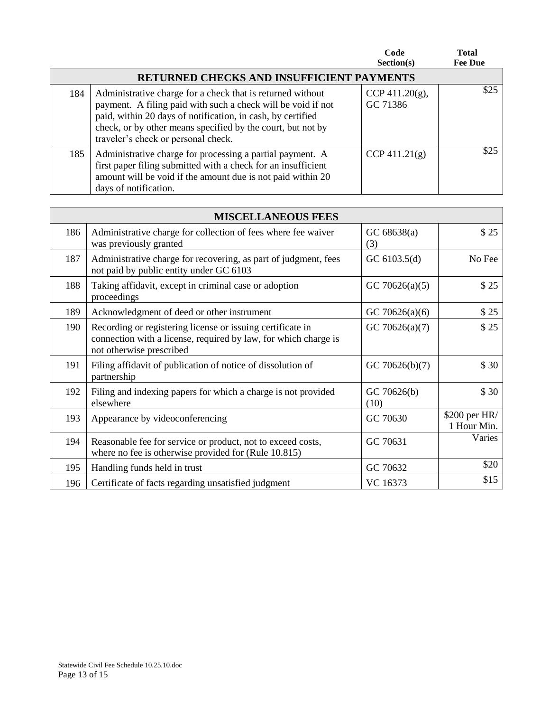|     |                                                                                                                                                                                                                                                                                                 | Code<br>Section(s)             | <b>Total</b><br><b>Fee Due</b> |
|-----|-------------------------------------------------------------------------------------------------------------------------------------------------------------------------------------------------------------------------------------------------------------------------------------------------|--------------------------------|--------------------------------|
|     | <b>RETURNED CHECKS AND INSUFFICIENT PAYMENTS</b>                                                                                                                                                                                                                                                |                                |                                |
| 184 | Administrative charge for a check that is returned without<br>payment. A filing paid with such a check will be void if not<br>paid, within 20 days of notification, in cash, by certified<br>check, or by other means specified by the court, but not by<br>traveler's check or personal check. | CCP 411.20 $(g)$ ,<br>GC 71386 | \$25                           |
| 185 | Administrative charge for processing a partial payment. A<br>first paper filing submitted with a check for an insufficient<br>amount will be void if the amount due is not paid within 20<br>days of notification.                                                                              | $CCP\,411.21(g)$               | \$25                           |

| <b>MISCELLANEOUS FEES</b> |                                                                                                                                                           |                     |                              |
|---------------------------|-----------------------------------------------------------------------------------------------------------------------------------------------------------|---------------------|------------------------------|
| 186                       | Administrative charge for collection of fees where fee waiver<br>was previously granted                                                                   | GC 68638(a)<br>(3)  | \$25                         |
| 187                       | Administrative charge for recovering, as part of judgment, fees<br>not paid by public entity under GC 6103                                                | GC 6103.5(d)        | No Fee                       |
| 188                       | Taking affidavit, except in criminal case or adoption<br>proceedings                                                                                      | GC 70626(a) $(5)$   | \$25                         |
| 189                       | Acknowledgment of deed or other instrument                                                                                                                | GC 70626(a)(6)      | \$25                         |
| 190                       | Recording or registering license or issuing certificate in<br>connection with a license, required by law, for which charge is<br>not otherwise prescribed | GC 70626(a) $(7)$   | \$25                         |
| 191                       | Filing affidavit of publication of notice of dissolution of<br>partnership                                                                                | GC 70626(b)(7)      | \$30                         |
| 192                       | Filing and indexing papers for which a charge is not provided<br>elsewhere                                                                                | GC 70626(b)<br>(10) | \$30                         |
| 193                       | Appearance by videoconferencing                                                                                                                           | GC 70630            | \$200 per HR/<br>1 Hour Min. |
| 194                       | Reasonable fee for service or product, not to exceed costs,<br>where no fee is otherwise provided for (Rule 10.815)                                       | GC 70631            | Varies                       |
| 195                       | Handling funds held in trust                                                                                                                              | GC 70632            | \$20                         |
| 196                       | Certificate of facts regarding unsatisfied judgment                                                                                                       | VC 16373            | \$15                         |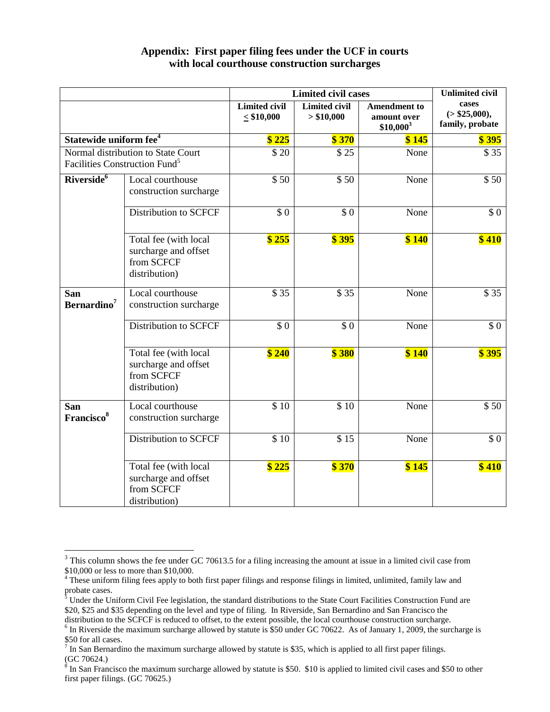|                                                                                 |                                                                              | <b>Limited civil cases</b>              | <b>Unlimited civil</b>             |                                                   |                                            |
|---------------------------------------------------------------------------------|------------------------------------------------------------------------------|-----------------------------------------|------------------------------------|---------------------------------------------------|--------------------------------------------|
|                                                                                 |                                                                              | <b>Limited civil</b><br>$\leq$ \$10,000 | <b>Limited civil</b><br>> \$10,000 | <b>Amendment</b> to<br>amount over<br>$$10,000^3$ | cases<br>( > \$25,000),<br>family, probate |
| Statewide uniform fee <sup>4</sup>                                              |                                                                              | \$225                                   | \$370                              | \$145                                             | \$395                                      |
| Normal distribution to State Court<br>Facilities Construction Fund <sup>5</sup> |                                                                              | \$20                                    | \$25                               | None                                              | \$35                                       |
| Riverside <sup>6</sup>                                                          | Local courthouse<br>construction surcharge                                   | \$50                                    | \$50                               | None                                              | \$50                                       |
|                                                                                 | <b>Distribution to SCFCF</b>                                                 | $\overline{\$0}$                        | $\overline{\$}\ 0$                 | None                                              | $\overline{\$0}$                           |
|                                                                                 | Total fee (with local<br>surcharge and offset<br>from SCFCF<br>distribution) | \$255                                   | \$395                              | \$140                                             | \$410                                      |
| San<br>Bernardino <sup>7</sup>                                                  | Local courthouse<br>construction surcharge                                   | \$35                                    | \$35                               | None                                              | \$35                                       |
|                                                                                 | <b>Distribution to SCFCF</b>                                                 | \$0                                     | \$0                                | None                                              | \$0                                        |
|                                                                                 | Total fee (with local<br>surcharge and offset<br>from SCFCF<br>distribution) | $\sqrt{3}$ 240                          | \$380                              | \$140                                             | \$395                                      |
| San<br>Francisco <sup>8</sup>                                                   | Local courthouse<br>construction surcharge                                   | \$10                                    | \$10                               | None                                              | \$50                                       |
|                                                                                 | <b>Distribution to SCFCF</b>                                                 | \$10                                    | \$15                               | None                                              | $\overline{\$0}$                           |
|                                                                                 | Total fee (with local<br>surcharge and offset<br>from SCFCF<br>distribution) | \$225                                   | \$370                              | \$145                                             | \$410                                      |

## **Appendix: First paper filing fees under the UCF in courts with local courthouse construction surcharges**

 $\overline{a}$ 

<sup>&</sup>lt;sup>3</sup> This column shows the fee under GC 70613.5 for a filing increasing the amount at issue in a limited civil case from \$10,000 or less to more than \$10,000.

<sup>&</sup>lt;sup>4</sup> These uniform filing fees apply to both first paper filings and response filings in limited, unlimited, family law and probate cases.

 $5$  Under the Uniform Civil Fee legislation, the standard distributions to the State Court Facilities Construction Fund are \$20, \$25 and \$35 depending on the level and type of filing. In Riverside, San Bernardino and San Francisco the distribution to the SCFCF is reduced to offset, to the extent possible, the local courthouse construction surcharge.

 $6$  In Riverside the maximum surcharge allowed by statute is \$50 under GC 70622. As of January 1, 2009, the surcharge is

<sup>\$50</sup> for all cases.<br><sup>7</sup> In San Bernardino the maximum surcharge allowed by statute is \$35, which is applied to all first paper filings.

<sup>(</sup>GC 70624.) 8 In San Francisco the maximum surcharge allowed by statute is \$50. \$10 is applied to limited civil cases and \$50 to other first paper filings. (GC 70625.)